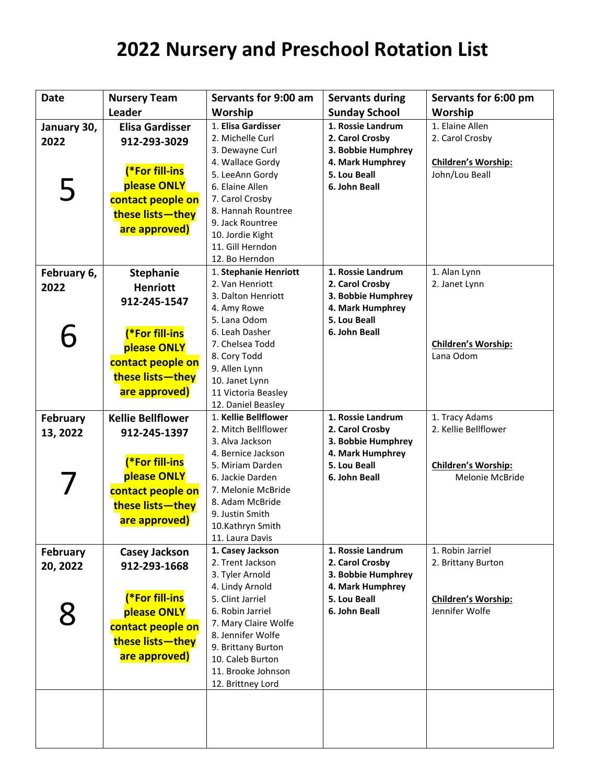| <b>Date</b>     | <b>Nursery Team</b>      | Servants for 9:00 am                      | <b>Servants during</b> | Servants for 6:00 pm       |
|-----------------|--------------------------|-------------------------------------------|------------------------|----------------------------|
|                 | <b>Leader</b>            | Worship                                   | <b>Sunday School</b>   | Worship                    |
| January 30,     | <b>Elisa Gardisser</b>   | 1. Elisa Gardisser                        | 1. Rossie Landrum      | 1. Elaine Allen            |
| 2022            | 912-293-3029             | 2. Michelle Curl                          | 2. Carol Crosby        | 2. Carol Crosby            |
|                 |                          | 3. Dewayne Curl                           | 3. Bobbie Humphrey     |                            |
|                 |                          | 4. Wallace Gordy                          | 4. Mark Humphrey       | Children's Worship:        |
|                 | (*For fill-ins           | 5. LeeAnn Gordy                           | 5. Lou Beall           | John/Lou Beall             |
| 5               | please ONLY              | 6. Elaine Allen                           | 6. John Beall          |                            |
|                 | contact people on        | 7. Carol Crosby                           |                        |                            |
|                 | these lists-they         | 8. Hannah Rountree                        |                        |                            |
|                 | are approved)            | 9. Jack Rountree                          |                        |                            |
|                 |                          | 10. Jordie Kight                          |                        |                            |
|                 |                          | 11. Gill Herndon                          |                        |                            |
|                 |                          | 12. Bo Herndon                            |                        |                            |
| February 6,     | <b>Stephanie</b>         | 1. Stephanie Henriott                     | 1. Rossie Landrum      | 1. Alan Lynn               |
| 2022            | <b>Henriott</b>          | 2. Van Henriott                           | 2. Carol Crosby        | 2. Janet Lynn              |
|                 | 912-245-1547             | 3. Dalton Henriott                        | 3. Bobbie Humphrey     |                            |
|                 |                          | 4. Amy Rowe                               | 4. Mark Humphrey       |                            |
|                 |                          | 5. Lana Odom                              | 5. Lou Beall           |                            |
|                 | (*For fill-ins           | 6. Leah Dasher                            | 6. John Beall          |                            |
|                 | please ONLY              | 7. Chelsea Todd                           |                        | <b>Children's Worship:</b> |
|                 | contact people on        | 8. Cory Todd                              |                        | Lana Odom                  |
|                 | these lists-they         | 9. Allen Lynn                             |                        |                            |
|                 | are approved)            | 10. Janet Lynn                            |                        |                            |
|                 |                          | 11 Victoria Beasley<br>12. Daniel Beasley |                        |                            |
|                 | <b>Kellie Bellflower</b> | 1. Kellie Bellflower                      | 1. Rossie Landrum      | 1. Tracy Adams             |
| February        |                          | 2. Mitch Bellflower                       | 2. Carol Crosby        | 2. Kellie Bellflower       |
| 13, 2022        | 912-245-1397             | 3. Alva Jackson                           | 3. Bobbie Humphrey     |                            |
|                 |                          | 4. Bernice Jackson                        | 4. Mark Humphrey       |                            |
|                 | (*For fill-ins           | 5. Miriam Darden                          | 5. Lou Beall           | Children's Worship:        |
|                 | please ONLY              | 6. Jackie Darden                          | 6. John Beall          | Melonie McBride            |
|                 | contact people on        | 7. Melonie McBride                        |                        |                            |
|                 | these lists-they         | 8. Adam McBride                           |                        |                            |
|                 |                          | 9. Justin Smith                           |                        |                            |
|                 | are approved)            | 10.Kathryn Smith                          |                        |                            |
|                 |                          | 11. Laura Davis                           |                        |                            |
| <b>February</b> | <b>Casey Jackson</b>     | 1. Casey Jackson                          | 1. Rossie Landrum      | 1. Robin Jarriel           |
| 20, 2022        | 912-293-1668             | 2. Trent Jackson                          | 2. Carol Crosby        | 2. Brittany Burton         |
|                 |                          | 3. Tyler Arnold                           | 3. Bobbie Humphrey     |                            |
|                 |                          | 4. Lindy Arnold                           | 4. Mark Humphrey       |                            |
|                 | (*For fill-ins           | 5. Clint Jarriel                          | 5. Lou Beall           | <b>Children's Worship:</b> |
| 8               | please ONLY              | 6. Robin Jarriel                          | 6. John Beall          | Jennifer Wolfe             |
|                 | contact people on        | 7. Mary Claire Wolfe                      |                        |                            |
|                 | these lists-they         | 8. Jennifer Wolfe                         |                        |                            |
|                 | are approved)            | 9. Brittany Burton<br>10. Caleb Burton    |                        |                            |
|                 |                          | 11. Brooke Johnson                        |                        |                            |
|                 |                          | 12. Brittney Lord                         |                        |                            |
|                 |                          |                                           |                        |                            |
|                 |                          |                                           |                        |                            |
|                 |                          |                                           |                        |                            |
|                 |                          |                                           |                        |                            |
|                 |                          |                                           |                        |                            |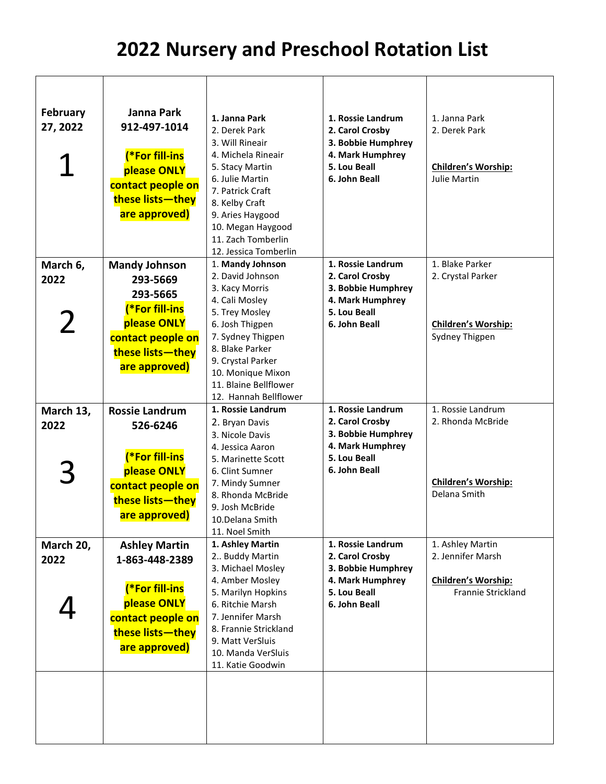| <b>February</b><br>27, 2022 | Janna Park<br>912-497-1014<br>(*For fill-ins<br>please ONLY<br>contact people on<br>these lists-they<br>are approved) | 1. Janna Park<br>2. Derek Park<br>3. Will Rineair<br>4. Michela Rineair<br>5. Stacy Martin<br>6. Julie Martin<br>7. Patrick Craft<br>8. Kelby Craft<br>9. Aries Haygood<br>10. Megan Haygood<br>11. Zach Tomberlin<br>12. Jessica Tomberlin | 1. Rossie Landrum<br>2. Carol Crosby<br>3. Bobbie Humphrey<br>4. Mark Humphrey<br>5. Lou Beall<br>6. John Beall | 1. Janna Park<br>2. Derek Park<br><b>Children's Worship:</b><br>Julie Martin |
|-----------------------------|-----------------------------------------------------------------------------------------------------------------------|---------------------------------------------------------------------------------------------------------------------------------------------------------------------------------------------------------------------------------------------|-----------------------------------------------------------------------------------------------------------------|------------------------------------------------------------------------------|
| March 6,                    | <b>Mandy Johnson</b>                                                                                                  | 1. Mandy Johnson<br>2. David Johnson                                                                                                                                                                                                        | 1. Rossie Landrum                                                                                               | 1. Blake Parker                                                              |
| 2022                        | 293-5669                                                                                                              | 3. Kacy Morris                                                                                                                                                                                                                              | 2. Carol Crosby<br>3. Bobbie Humphrey                                                                           | 2. Crystal Parker                                                            |
|                             | 293-5665                                                                                                              | 4. Cali Mosley                                                                                                                                                                                                                              | 4. Mark Humphrey                                                                                                |                                                                              |
|                             | (*For fill-ins                                                                                                        | 5. Trey Mosley                                                                                                                                                                                                                              | 5. Lou Beall                                                                                                    |                                                                              |
| 2                           | please ONLY                                                                                                           | 6. Josh Thigpen<br>7. Sydney Thigpen                                                                                                                                                                                                        | 6. John Beall                                                                                                   | <b>Children's Worship:</b><br>Sydney Thigpen                                 |
|                             | contact people on                                                                                                     | 8. Blake Parker                                                                                                                                                                                                                             |                                                                                                                 |                                                                              |
|                             | these lists-they                                                                                                      | 9. Crystal Parker                                                                                                                                                                                                                           |                                                                                                                 |                                                                              |
|                             | are approved)                                                                                                         | 10. Monique Mixon                                                                                                                                                                                                                           |                                                                                                                 |                                                                              |
|                             |                                                                                                                       | 11. Blaine Bellflower                                                                                                                                                                                                                       |                                                                                                                 |                                                                              |
|                             | <b>Rossie Landrum</b>                                                                                                 | 12. Hannah Bellflower<br>1. Rossie Landrum                                                                                                                                                                                                  | 1. Rossie Landrum                                                                                               | 1. Rossie Landrum                                                            |
| March 13,<br>2022           |                                                                                                                       | 2. Bryan Davis                                                                                                                                                                                                                              | 2. Carol Crosby                                                                                                 | 2. Rhonda McBride                                                            |
|                             | 526-6246                                                                                                              | 3. Nicole Davis                                                                                                                                                                                                                             | 3. Bobbie Humphrey                                                                                              |                                                                              |
|                             |                                                                                                                       | 4. Jessica Aaron                                                                                                                                                                                                                            | 4. Mark Humphrey                                                                                                |                                                                              |
|                             | (*For fill-ins                                                                                                        | 5. Marinette Scott                                                                                                                                                                                                                          | 5. Lou Beall                                                                                                    |                                                                              |
|                             | please ONLY                                                                                                           | 6. Clint Sumner                                                                                                                                                                                                                             | 6. John Beall                                                                                                   | Children's Worship:                                                          |
|                             | contact people on                                                                                                     | 7. Mindy Sumner<br>8. Rhonda McBride                                                                                                                                                                                                        |                                                                                                                 | Delana Smith                                                                 |
|                             | these lists-they                                                                                                      | 9. Josh McBride                                                                                                                                                                                                                             |                                                                                                                 |                                                                              |
|                             | are approved)                                                                                                         | 10.Delana Smith                                                                                                                                                                                                                             |                                                                                                                 |                                                                              |
|                             |                                                                                                                       | 11. Noel Smith                                                                                                                                                                                                                              |                                                                                                                 |                                                                              |
| March 20,                   | <b>Ashley Martin</b>                                                                                                  | 1. Ashley Martin<br>2 Buddy Martin                                                                                                                                                                                                          | 1. Rossie Landrum<br>2. Carol Crosby                                                                            | 1. Ashley Martin<br>2. Jennifer Marsh                                        |
| 2022                        | 1-863-448-2389                                                                                                        | 3. Michael Mosley                                                                                                                                                                                                                           | 3. Bobbie Humphrey                                                                                              |                                                                              |
|                             |                                                                                                                       | 4. Amber Mosley                                                                                                                                                                                                                             | 4. Mark Humphrey                                                                                                | <b>Children's Worship:</b>                                                   |
|                             | (*For fill-ins                                                                                                        | 5. Marilyn Hopkins                                                                                                                                                                                                                          | 5. Lou Beall                                                                                                    | Frannie Strickland                                                           |
|                             | please ONLY                                                                                                           | 6. Ritchie Marsh                                                                                                                                                                                                                            | 6. John Beall                                                                                                   |                                                                              |
|                             | contact people on                                                                                                     | 7. Jennifer Marsh<br>8. Frannie Strickland                                                                                                                                                                                                  |                                                                                                                 |                                                                              |
|                             | these lists-they                                                                                                      | 9. Matt VerSluis                                                                                                                                                                                                                            |                                                                                                                 |                                                                              |
|                             | are approved)                                                                                                         | 10. Manda VerSluis                                                                                                                                                                                                                          |                                                                                                                 |                                                                              |
|                             |                                                                                                                       | 11. Katie Goodwin                                                                                                                                                                                                                           |                                                                                                                 |                                                                              |
|                             |                                                                                                                       |                                                                                                                                                                                                                                             |                                                                                                                 |                                                                              |
|                             |                                                                                                                       |                                                                                                                                                                                                                                             |                                                                                                                 |                                                                              |
|                             |                                                                                                                       |                                                                                                                                                                                                                                             |                                                                                                                 |                                                                              |
|                             |                                                                                                                       |                                                                                                                                                                                                                                             |                                                                                                                 |                                                                              |
|                             |                                                                                                                       |                                                                                                                                                                                                                                             |                                                                                                                 |                                                                              |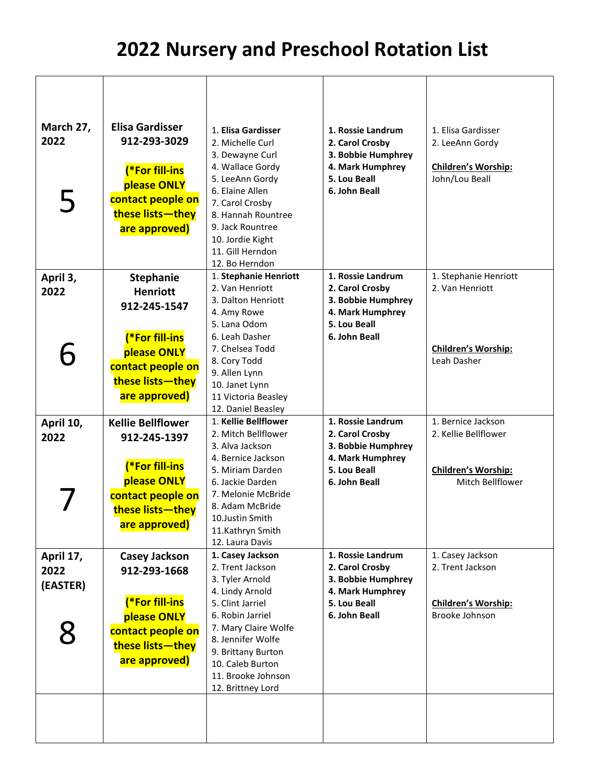| <b>Elisa Gardisser</b><br>912-293-3029<br>(*For fill-ins<br>please ONLY<br>contact people on<br>these lists-they<br>are approved)       | 1. Elisa Gardisser<br>2. Michelle Curl<br>3. Dewayne Curl<br>4. Wallace Gordy<br>5. LeeAnn Gordy<br>6. Elaine Allen<br>7. Carol Crosby<br>8. Hannah Rountree<br>9. Jack Rountree<br>10. Jordie Kight<br>11. Gill Herndon                             | 1. Rossie Landrum<br>2. Carol Crosby<br>3. Bobbie Humphrey<br>4. Mark Humphrey<br>5. Lou Beall<br>6. John Beall | 1. Elisa Gardisser<br>2. LeeAnn Gordy<br>Children's Worship:<br>John/Lou Beall        |
|-----------------------------------------------------------------------------------------------------------------------------------------|------------------------------------------------------------------------------------------------------------------------------------------------------------------------------------------------------------------------------------------------------|-----------------------------------------------------------------------------------------------------------------|---------------------------------------------------------------------------------------|
| Stephanie<br><b>Henriott</b><br>912-245-1547<br>(*For fill-ins<br>please ONLY<br>contact people on<br>these lists-they<br>are approved) | 1. Stephanie Henriott<br>2. Van Henriott<br>3. Dalton Henriott<br>4. Amy Rowe<br>5. Lana Odom<br>6. Leah Dasher<br>7. Chelsea Todd<br>8. Cory Todd<br>9. Allen Lynn<br>10. Janet Lynn<br>11 Victoria Beasley                                         | 1. Rossie Landrum<br>2. Carol Crosby<br>3. Bobbie Humphrey<br>4. Mark Humphrey<br>5. Lou Beall<br>6. John Beall | 1. Stephanie Henriott<br>2. Van Henriott<br><b>Children's Worship:</b><br>Leah Dasher |
| <b>Kellie Bellflower</b><br>912-245-1397<br>(*For fill-ins<br>please ONLY<br>contact people on<br>these lists-they<br>are approved)     | 1. Kellie Bellflower<br>2. Mitch Bellflower<br>3. Alva Jackson<br>4. Bernice Jackson<br>5. Miriam Darden<br>6. Jackie Darden<br>7. Melonie McBride<br>8. Adam McBride<br>10. Justin Smith<br>11.Kathryn Smith<br>12. Laura Davis                     | 1. Rossie Landrum<br>2. Carol Crosby<br>3. Bobbie Humphrey<br>4. Mark Humphrey<br>5. Lou Beall<br>6. John Beall | 1. Bernice Jackson<br>2. Kellie Bellflower<br>Children's Worship:<br>Mitch Bellflower |
| <b>Casey Jackson</b><br>912-293-1668<br><b>(*For fill-ins</b><br>please ONLY<br>contact people on<br>these lists-they<br>are approved)  | 1. Casey Jackson<br>2. Trent Jackson<br>3. Tyler Arnold<br>4. Lindy Arnold<br>5. Clint Jarriel<br>6. Robin Jarriel<br>7. Mary Claire Wolfe<br>8. Jennifer Wolfe<br>9. Brittany Burton<br>10. Caleb Burton<br>11. Brooke Johnson<br>12. Brittney Lord | 1. Rossie Landrum<br>2. Carol Crosby<br>3. Bobbie Humphrey<br>4. Mark Humphrey<br>5. Lou Beall<br>6. John Beall | 1. Casey Jackson<br>2. Trent Jackson<br>Children's Worship:<br>Brooke Johnson         |
|                                                                                                                                         |                                                                                                                                                                                                                                                      | 12. Bo Herndon<br>12. Daniel Beasley                                                                            |                                                                                       |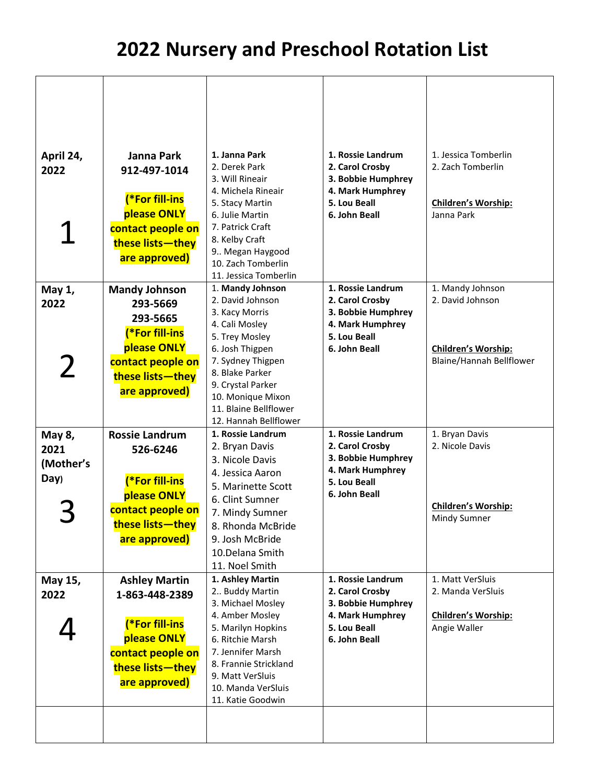| April 24,<br>2022                   | Janna Park<br>912-497-1014<br>(*For fill-ins<br>please ONLY<br>contact people on<br>these lists-they                              | 1. Janna Park<br>2. Derek Park<br>3. Will Rineair<br>4. Michela Rineair<br>5. Stacy Martin<br>6. Julie Martin<br>7. Patrick Craft<br>8. Kelby Craft<br>9 Megan Haygood                                                            | 1. Rossie Landrum<br>2. Carol Crosby<br>3. Bobbie Humphrey<br>4. Mark Humphrey<br>5. Lou Beall<br>6. John Beall | 1. Jessica Tomberlin<br>2. Zach Tomberlin<br><b>Children's Worship:</b><br>Janna Park |
|-------------------------------------|-----------------------------------------------------------------------------------------------------------------------------------|-----------------------------------------------------------------------------------------------------------------------------------------------------------------------------------------------------------------------------------|-----------------------------------------------------------------------------------------------------------------|---------------------------------------------------------------------------------------|
| May 1,                              | are approved)<br><b>Mandy Johnson</b>                                                                                             | 10. Zach Tomberlin<br>11. Jessica Tomberlin<br>1. Mandy Johnson                                                                                                                                                                   | 1. Rossie Landrum                                                                                               | 1. Mandy Johnson                                                                      |
| 2022                                | 293-5669<br>293-5665<br>(*For fill-ins<br>please ONLY                                                                             | 2. David Johnson<br>3. Kacy Morris<br>4. Cali Mosley<br>5. Trey Mosley<br>6. Josh Thigpen                                                                                                                                         | 2. Carol Crosby<br>3. Bobbie Humphrey<br>4. Mark Humphrey<br>5. Lou Beall<br>6. John Beall                      | 2. David Johnson<br><b>Children's Worship:</b>                                        |
| $\mathbf{Z}$                        | contact people on<br>these lists-they<br>are approved)                                                                            | 7. Sydney Thigpen<br>8. Blake Parker<br>9. Crystal Parker<br>10. Monique Mixon<br>11. Blaine Bellflower<br>12. Hannah Bellflower                                                                                                  |                                                                                                                 | Blaine/Hannah Bellflower                                                              |
| May 8,<br>2021<br>(Mother's<br>Day) | <b>Rossie Landrum</b><br>526-6246<br>(*For fill-ins<br>please ONLY                                                                | 1. Rossie Landrum<br>2. Bryan Davis<br>3. Nicole Davis<br>4. Jessica Aaron<br>5. Marinette Scott                                                                                                                                  | 1. Rossie Landrum<br>2. Carol Crosby<br>3. Bobbie Humphrey<br>4. Mark Humphrey<br>5. Lou Beall<br>6. John Beall | 1. Bryan Davis<br>2. Nicole Davis                                                     |
|                                     | contact people on<br>these lists — they<br>are approved)                                                                          | 6. Clint Sumner<br>7. Mindy Sumner<br>8. Rhonda McBride<br>9. Josh McBride<br>10.Delana Smith<br>11. Noel Smith                                                                                                                   |                                                                                                                 | <b>Children's Worship:</b><br>Mindy Sumner                                            |
| May 15,<br>2022                     | <b>Ashley Martin</b><br>1-863-448-2389<br>(*For fill-ins<br>please ONLY<br>contact people on<br>these lists-they<br>are approved) | 1. Ashley Martin<br>2 Buddy Martin<br>3. Michael Mosley<br>4. Amber Mosley<br>5. Marilyn Hopkins<br>6. Ritchie Marsh<br>7. Jennifer Marsh<br>8. Frannie Strickland<br>9. Matt VerSluis<br>10. Manda VerSluis<br>11. Katie Goodwin | 1. Rossie Landrum<br>2. Carol Crosby<br>3. Bobbie Humphrey<br>4. Mark Humphrey<br>5. Lou Beall<br>6. John Beall | 1. Matt VerSluis<br>2. Manda VerSluis<br><b>Children's Worship:</b><br>Angie Waller   |
|                                     |                                                                                                                                   |                                                                                                                                                                                                                                   |                                                                                                                 |                                                                                       |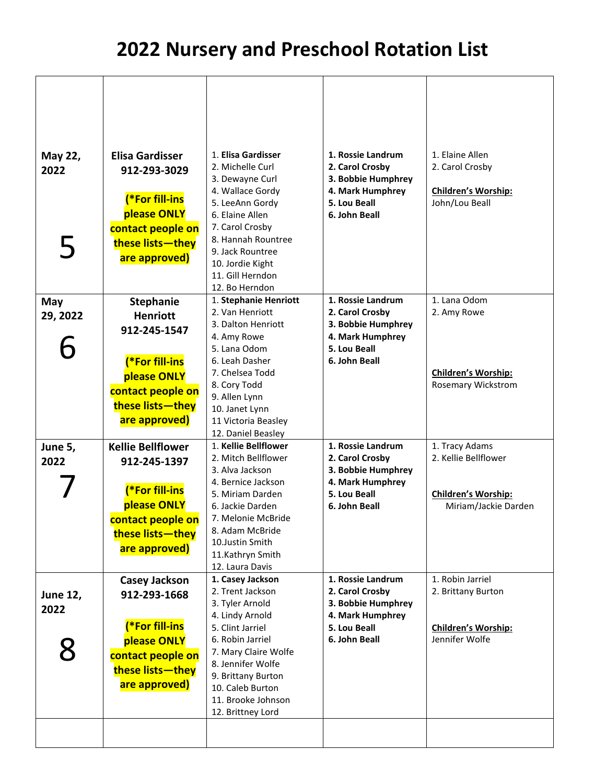| May 22,<br>2022<br>5 | <b>Elisa Gardisser</b><br>912-293-3029<br>(*For fill-ins<br>please ONLY<br>contact people on<br>these lists-they<br>are approved) | 1. Elisa Gardisser<br>2. Michelle Curl<br>3. Dewayne Curl<br>4. Wallace Gordy<br>5. LeeAnn Gordy<br>6. Elaine Allen<br>7. Carol Crosby<br>8. Hannah Rountree<br>9. Jack Rountree<br>10. Jordie Kight<br>11. Gill Herndon<br>12. Bo Herndon | 1. Rossie Landrum<br>2. Carol Crosby<br>3. Bobbie Humphrey<br>4. Mark Humphrey<br>5. Lou Beall<br>6. John Beall | 1. Elaine Allen<br>2. Carol Crosby<br><b>Children's Worship:</b><br>John/Lou Beall |
|----------------------|-----------------------------------------------------------------------------------------------------------------------------------|--------------------------------------------------------------------------------------------------------------------------------------------------------------------------------------------------------------------------------------------|-----------------------------------------------------------------------------------------------------------------|------------------------------------------------------------------------------------|
| May                  | <b>Stephanie</b>                                                                                                                  | 1. Stephanie Henriott                                                                                                                                                                                                                      | 1. Rossie Landrum                                                                                               | 1. Lana Odom                                                                       |
| 29, 2022             | <b>Henriott</b>                                                                                                                   | 2. Van Henriott<br>3. Dalton Henriott                                                                                                                                                                                                      | 2. Carol Crosby<br>3. Bobbie Humphrey                                                                           | 2. Amy Rowe                                                                        |
|                      | 912-245-1547                                                                                                                      | 4. Amy Rowe                                                                                                                                                                                                                                | 4. Mark Humphrey                                                                                                |                                                                                    |
|                      |                                                                                                                                   | 5. Lana Odom                                                                                                                                                                                                                               | 5. Lou Beall                                                                                                    |                                                                                    |
|                      | (*For fill-ins                                                                                                                    | 6. Leah Dasher                                                                                                                                                                                                                             | 6. John Beall                                                                                                   |                                                                                    |
|                      | please ONLY                                                                                                                       | 7. Chelsea Todd<br>8. Cory Todd                                                                                                                                                                                                            |                                                                                                                 | <b>Children's Worship:</b><br><b>Rosemary Wickstrom</b>                            |
|                      | contact people on                                                                                                                 | 9. Allen Lynn                                                                                                                                                                                                                              |                                                                                                                 |                                                                                    |
|                      | these lists-they                                                                                                                  | 10. Janet Lynn                                                                                                                                                                                                                             |                                                                                                                 |                                                                                    |
|                      | are approved)                                                                                                                     | 11 Victoria Beasley                                                                                                                                                                                                                        |                                                                                                                 |                                                                                    |
|                      |                                                                                                                                   | 12. Daniel Beasley                                                                                                                                                                                                                         |                                                                                                                 |                                                                                    |
| June 5,              | <b>Kellie Bellflower</b>                                                                                                          | 1. Kellie Bellflower<br>2. Mitch Bellflower                                                                                                                                                                                                | 1. Rossie Landrum<br>2. Carol Crosby                                                                            | 1. Tracy Adams<br>2. Kellie Bellflower                                             |
| 2022                 | 912-245-1397                                                                                                                      | 3. Alva Jackson                                                                                                                                                                                                                            | 3. Bobbie Humphrey                                                                                              |                                                                                    |
|                      |                                                                                                                                   | 4. Bernice Jackson                                                                                                                                                                                                                         | 4. Mark Humphrey                                                                                                |                                                                                    |
|                      | (*For fill-ins                                                                                                                    | 5. Miriam Darden                                                                                                                                                                                                                           | 5. Lou Beall                                                                                                    | Children's Worship:                                                                |
|                      | please ONLY                                                                                                                       | 6. Jackie Darden                                                                                                                                                                                                                           | 6. John Beall                                                                                                   | Miriam/Jackie Darden                                                               |
|                      | contact people on                                                                                                                 | 7. Melonie McBride<br>8. Adam McBride                                                                                                                                                                                                      |                                                                                                                 |                                                                                    |
|                      | these lists-they                                                                                                                  | 10.Justin Smith                                                                                                                                                                                                                            |                                                                                                                 |                                                                                    |
|                      | are approved)                                                                                                                     | 11.Kathryn Smith                                                                                                                                                                                                                           |                                                                                                                 |                                                                                    |
|                      |                                                                                                                                   | 12. Laura Davis                                                                                                                                                                                                                            |                                                                                                                 |                                                                                    |
|                      | <b>Casey Jackson</b>                                                                                                              | 1. Casey Jackson<br>2. Trent Jackson                                                                                                                                                                                                       | 1. Rossie Landrum<br>2. Carol Crosby                                                                            | 1. Robin Jarriel<br>2. Brittany Burton                                             |
| <b>June 12,</b>      | 912-293-1668                                                                                                                      | 3. Tyler Arnold                                                                                                                                                                                                                            | 3. Bobbie Humphrey                                                                                              |                                                                                    |
| 2022                 |                                                                                                                                   | 4. Lindy Arnold                                                                                                                                                                                                                            | 4. Mark Humphrey                                                                                                |                                                                                    |
|                      | (*For fill-ins                                                                                                                    | 5. Clint Jarriel                                                                                                                                                                                                                           | 5. Lou Beall                                                                                                    | <b>Children's Worship:</b>                                                         |
|                      | please ONLY                                                                                                                       | 6. Robin Jarriel                                                                                                                                                                                                                           | 6. John Beall                                                                                                   | Jennifer Wolfe                                                                     |
|                      | contact people on                                                                                                                 | 7. Mary Claire Wolfe<br>8. Jennifer Wolfe                                                                                                                                                                                                  |                                                                                                                 |                                                                                    |
|                      | these lists-they                                                                                                                  | 9. Brittany Burton                                                                                                                                                                                                                         |                                                                                                                 |                                                                                    |
|                      | are approved)                                                                                                                     | 10. Caleb Burton                                                                                                                                                                                                                           |                                                                                                                 |                                                                                    |
|                      |                                                                                                                                   | 11. Brooke Johnson                                                                                                                                                                                                                         |                                                                                                                 |                                                                                    |
|                      |                                                                                                                                   | 12. Brittney Lord                                                                                                                                                                                                                          |                                                                                                                 |                                                                                    |
|                      |                                                                                                                                   |                                                                                                                                                                                                                                            |                                                                                                                 |                                                                                    |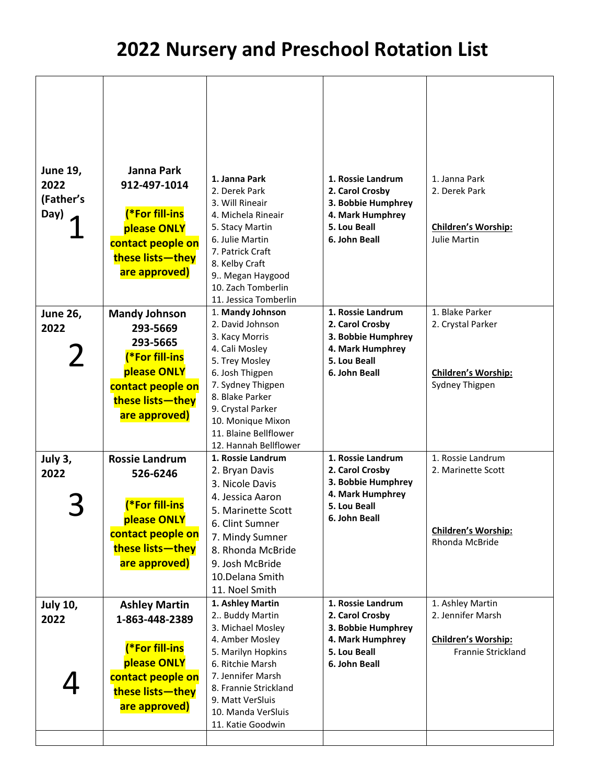| <b>June 19,</b> | <b>Janna Park</b>         | 1. Janna Park                              | 1. Rossie Landrum  | 1. Janna Park                                |
|-----------------|---------------------------|--------------------------------------------|--------------------|----------------------------------------------|
| 2022            | 912-497-1014              | 2. Derek Park                              | 2. Carol Crosby    | 2. Derek Park                                |
| (Father's       |                           | 3. Will Rineair                            | 3. Bobbie Humphrey |                                              |
| Day)            | (*For fill-ins            | 4. Michela Rineair                         | 4. Mark Humphrey   |                                              |
|                 | please ONLY               | 5. Stacy Martin                            | 5. Lou Beall       | <b>Children's Worship:</b>                   |
|                 | contact people on         | 6. Julie Martin                            | 6. John Beall      | Julie Martin                                 |
|                 | these lists-they          | 7. Patrick Craft                           |                    |                                              |
|                 | are approved)             | 8. Kelby Craft                             |                    |                                              |
|                 |                           | 9 Megan Haygood                            |                    |                                              |
|                 |                           | 10. Zach Tomberlin                         |                    |                                              |
| <b>June 26,</b> | <b>Mandy Johnson</b>      | 11. Jessica Tomberlin<br>1. Mandy Johnson  | 1. Rossie Landrum  | 1. Blake Parker                              |
|                 |                           | 2. David Johnson                           | 2. Carol Crosby    | 2. Crystal Parker                            |
| 2022            | 293-5669                  | 3. Kacy Morris                             | 3. Bobbie Humphrey |                                              |
|                 | 293-5665                  | 4. Cali Mosley                             | 4. Mark Humphrey   |                                              |
| $\overline{2}$  | (*For fill-ins            | 5. Trey Mosley                             | 5. Lou Beall       |                                              |
|                 | please ONLY               | 6. Josh Thigpen                            | 6. John Beall      | Children's Worship:                          |
|                 | contact people on         | 7. Sydney Thigpen                          |                    | Sydney Thigpen                               |
|                 | these lists-they          | 8. Blake Parker                            |                    |                                              |
|                 | are approved)             | 9. Crystal Parker                          |                    |                                              |
|                 |                           | 10. Monique Mixon<br>11. Blaine Bellflower |                    |                                              |
|                 |                           | 12. Hannah Bellflower                      |                    |                                              |
| July 3,         | <b>Rossie Landrum</b>     | 1. Rossie Landrum                          | 1. Rossie Landrum  | 1. Rossie Landrum                            |
| 2022            | 526-6246                  | 2. Bryan Davis                             | 2. Carol Crosby    | 2. Marinette Scott                           |
|                 |                           | 3. Nicole Davis                            | 3. Bobbie Humphrey |                                              |
|                 |                           | 4. Jessica Aaron                           | 4. Mark Humphrey   |                                              |
|                 | <sup>*</sup> For fill-ins | 5. Marinette Scott                         | 5. Lou Beall       |                                              |
|                 | please ONLY               | 6. Clint Sumner                            | 6. John Beall      |                                              |
|                 | contact people on         | 7. Mindy Sumner                            |                    | <b>Children's Worship:</b><br>Rhonda McBride |
|                 | these lists-they          | 8. Rhonda McBride                          |                    |                                              |
|                 | are approved)             | 9. Josh McBride                            |                    |                                              |
|                 |                           | 10.Delana Smith                            |                    |                                              |
|                 |                           | 11. Noel Smith                             |                    |                                              |
| <b>July 10,</b> | <b>Ashley Martin</b>      | 1. Ashley Martin                           | 1. Rossie Landrum  | 1. Ashley Martin                             |
| 2022            | 1-863-448-2389            | 2 Buddy Martin                             | 2. Carol Crosby    | 2. Jennifer Marsh                            |
|                 |                           | 3. Michael Mosley                          | 3. Bobbie Humphrey |                                              |
|                 | (*For fill-ins            | 4. Amber Mosley                            | 4. Mark Humphrey   | Children's Worship:                          |
|                 | please ONLY               | 5. Marilyn Hopkins                         | 5. Lou Beall       | Frannie Strickland                           |
|                 |                           | 6. Ritchie Marsh<br>7. Jennifer Marsh      | 6. John Beall      |                                              |
|                 | contact people on         | 8. Frannie Strickland                      |                    |                                              |
|                 | these lists-they          | 9. Matt VerSluis                           |                    |                                              |
|                 | are approved)             | 10. Manda VerSluis                         |                    |                                              |
|                 |                           | 11. Katie Goodwin                          |                    |                                              |
|                 |                           |                                            |                    |                                              |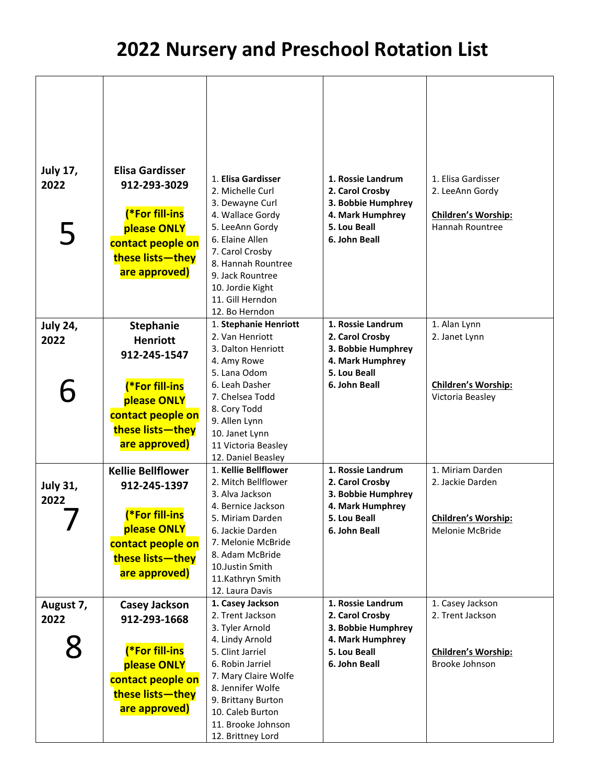| <b>July 17,</b> | <b>Elisa Gardisser</b>   | 1. Elisa Gardisser                        | 1. Rossie Landrum                | 1. Elisa Gardisser  |
|-----------------|--------------------------|-------------------------------------------|----------------------------------|---------------------|
| 2022            | 912-293-3029             | 2. Michelle Curl                          | 2. Carol Crosby                  | 2. LeeAnn Gordy     |
|                 |                          | 3. Dewayne Curl                           | 3. Bobbie Humphrey               |                     |
|                 | (*For fill-ins           | 4. Wallace Gordy                          | 4. Mark Humphrey                 | Children's Worship: |
|                 | please ONLY              | 5. LeeAnn Gordy                           | 5. Lou Beall                     | Hannah Rountree     |
| 5               | contact people on        | 6. Elaine Allen                           | 6. John Beall                    |                     |
|                 |                          | 7. Carol Crosby                           |                                  |                     |
|                 | these lists-they         | 8. Hannah Rountree                        |                                  |                     |
|                 | are approved)            | 9. Jack Rountree                          |                                  |                     |
|                 |                          | 10. Jordie Kight                          |                                  |                     |
|                 |                          | 11. Gill Herndon                          |                                  |                     |
|                 |                          | 12. Bo Herndon                            |                                  |                     |
| <b>July 24,</b> | <b>Stephanie</b>         | 1. Stephanie Henriott                     | 1. Rossie Landrum                | 1. Alan Lynn        |
| 2022            | <b>Henriott</b>          | 2. Van Henriott                           | 2. Carol Crosby                  | 2. Janet Lynn       |
|                 | 912-245-1547             | 3. Dalton Henriott                        | 3. Bobbie Humphrey               |                     |
|                 |                          | 4. Amy Rowe<br>5. Lana Odom               | 4. Mark Humphrey<br>5. Lou Beall |                     |
|                 | (*For fill-ins           | 6. Leah Dasher                            | 6. John Beall                    | Children's Worship: |
| 6               |                          | 7. Chelsea Todd                           |                                  | Victoria Beasley    |
|                 | please ONLY              | 8. Cory Todd                              |                                  |                     |
|                 | contact people on        | 9. Allen Lynn                             |                                  |                     |
|                 | these lists-they         | 10. Janet Lynn                            |                                  |                     |
|                 | are approved)            | 11 Victoria Beasley                       |                                  |                     |
|                 |                          | 12. Daniel Beasley                        |                                  |                     |
|                 | <b>Kellie Bellflower</b> | 1. Kellie Bellflower                      | 1. Rossie Landrum                | 1. Miriam Darden    |
| <b>July 31,</b> | 912-245-1397             | 2. Mitch Bellflower                       | 2. Carol Crosby                  | 2. Jackie Darden    |
| 2022            |                          | 3. Alva Jackson                           | 3. Bobbie Humphrey               |                     |
|                 | (*For fill-ins           | 4. Bernice Jackson                        | 4. Mark Humphrey                 |                     |
|                 | please ONLY              | 5. Miriam Darden                          | 5. Lou Beall                     | Children's Worship: |
|                 | contact people on        | 6. Jackie Darden<br>7. Melonie McBride    | 6. John Beall                    | Melonie McBride     |
|                 |                          | 8. Adam McBride                           |                                  |                     |
|                 | these lists-they         | 10.Justin Smith                           |                                  |                     |
|                 | are approved)            | 11.Kathryn Smith                          |                                  |                     |
|                 |                          | 12. Laura Davis                           |                                  |                     |
| August 7,       | <b>Casey Jackson</b>     | 1. Casey Jackson                          | 1. Rossie Landrum                | 1. Casey Jackson    |
| 2022            | 912-293-1668             | 2. Trent Jackson                          | 2. Carol Crosby                  | 2. Trent Jackson    |
|                 |                          | 3. Tyler Arnold                           | 3. Bobbie Humphrey               |                     |
|                 |                          | 4. Lindy Arnold                           | 4. Mark Humphrey                 |                     |
|                 | (*For fill-ins           | 5. Clint Jarriel                          | 5. Lou Beall                     | Children's Worship: |
|                 | please ONLY              | 6. Robin Jarriel                          | 6. John Beall                    | Brooke Johnson      |
|                 | contact people on        | 7. Mary Claire Wolfe<br>8. Jennifer Wolfe |                                  |                     |
|                 | these lists-they         | 9. Brittany Burton                        |                                  |                     |
|                 | are approved)            | 10. Caleb Burton                          |                                  |                     |
|                 |                          | 11. Brooke Johnson                        |                                  |                     |
|                 |                          | 12. Brittney Lord                         |                                  |                     |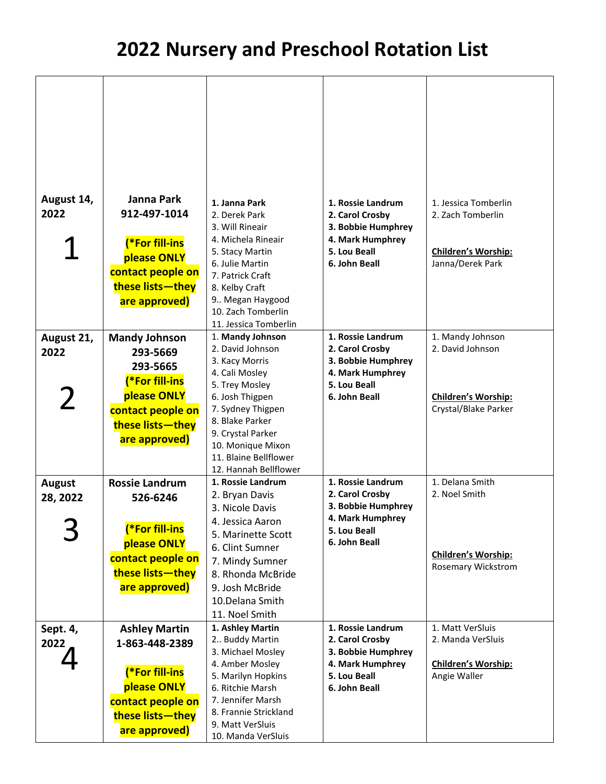| August 14,<br>2022<br>August 21,<br>2022<br>$\mathbf{Z}$ | Janna Park<br>912-497-1014<br>(*For fill-ins<br>please ONLY<br>contact people on<br>these lists-they<br>are approved)<br><b>Mandy Johnson</b><br>293-5669<br>293-5665<br>(*For fill-ins<br>please ONLY<br>contact people on | 1. Janna Park<br>2. Derek Park<br>3. Will Rineair<br>4. Michela Rineair<br>5. Stacy Martin<br>6. Julie Martin<br>7. Patrick Craft<br>8. Kelby Craft<br>9 Megan Haygood<br>10. Zach Tomberlin<br>11. Jessica Tomberlin<br>1. Mandy Johnson<br>2. David Johnson<br>3. Kacy Morris<br>4. Cali Mosley<br>5. Trey Mosley<br>6. Josh Thigpen<br>7. Sydney Thigpen | 1. Rossie Landrum<br>2. Carol Crosby<br>3. Bobbie Humphrey<br>4. Mark Humphrey<br>5. Lou Beall<br>6. John Beall<br>1. Rossie Landrum<br>2. Carol Crosby<br>3. Bobbie Humphrey<br>4. Mark Humphrey<br>5. Lou Beall<br>6. John Beall | 1. Jessica Tomberlin<br>2. Zach Tomberlin<br>Children's Worship:<br>Janna/Derek Park<br>1. Mandy Johnson<br>2. David Johnson<br>Children's Worship:<br>Crystal/Blake Parker |
|----------------------------------------------------------|-----------------------------------------------------------------------------------------------------------------------------------------------------------------------------------------------------------------------------|-------------------------------------------------------------------------------------------------------------------------------------------------------------------------------------------------------------------------------------------------------------------------------------------------------------------------------------------------------------|------------------------------------------------------------------------------------------------------------------------------------------------------------------------------------------------------------------------------------|-----------------------------------------------------------------------------------------------------------------------------------------------------------------------------|
|                                                          | these lists-they                                                                                                                                                                                                            | 8. Blake Parker                                                                                                                                                                                                                                                                                                                                             |                                                                                                                                                                                                                                    |                                                                                                                                                                             |
|                                                          | are approved)                                                                                                                                                                                                               | 9. Crystal Parker<br>10. Monique Mixon                                                                                                                                                                                                                                                                                                                      |                                                                                                                                                                                                                                    |                                                                                                                                                                             |
|                                                          |                                                                                                                                                                                                                             | 11. Blaine Bellflower<br>12. Hannah Bellflower                                                                                                                                                                                                                                                                                                              |                                                                                                                                                                                                                                    |                                                                                                                                                                             |
| <b>August</b>                                            | <b>Rossie Landrum</b>                                                                                                                                                                                                       | 1. Rossie Landrum                                                                                                                                                                                                                                                                                                                                           | 1. Rossie Landrum                                                                                                                                                                                                                  | 1. Delana Smith                                                                                                                                                             |
| 28, 2022                                                 | 526-6246                                                                                                                                                                                                                    | 2. Bryan Davis                                                                                                                                                                                                                                                                                                                                              | 2. Carol Crosby                                                                                                                                                                                                                    | 2. Noel Smith                                                                                                                                                               |
|                                                          |                                                                                                                                                                                                                             | 3. Nicole Davis                                                                                                                                                                                                                                                                                                                                             | 3. Bobbie Humphrey                                                                                                                                                                                                                 |                                                                                                                                                                             |
|                                                          |                                                                                                                                                                                                                             | 4. Jessica Aaron                                                                                                                                                                                                                                                                                                                                            | 4. Mark Humphrey                                                                                                                                                                                                                   |                                                                                                                                                                             |
|                                                          | <b>(*For fill-ins</b>                                                                                                                                                                                                       | 5. Marinette Scott                                                                                                                                                                                                                                                                                                                                          | 5. Lou Beall                                                                                                                                                                                                                       |                                                                                                                                                                             |
|                                                          | please ONLY                                                                                                                                                                                                                 | 6. Clint Sumner                                                                                                                                                                                                                                                                                                                                             | 6. John Beall                                                                                                                                                                                                                      | <b>Children's Worship:</b>                                                                                                                                                  |
|                                                          | contact people on                                                                                                                                                                                                           | 7. Mindy Sumner                                                                                                                                                                                                                                                                                                                                             |                                                                                                                                                                                                                                    | Rosemary Wickstrom                                                                                                                                                          |
|                                                          | these lists-they                                                                                                                                                                                                            | 8. Rhonda McBride                                                                                                                                                                                                                                                                                                                                           |                                                                                                                                                                                                                                    |                                                                                                                                                                             |
|                                                          | are approved)                                                                                                                                                                                                               | 9. Josh McBride                                                                                                                                                                                                                                                                                                                                             |                                                                                                                                                                                                                                    |                                                                                                                                                                             |
|                                                          |                                                                                                                                                                                                                             | 10.Delana Smith                                                                                                                                                                                                                                                                                                                                             |                                                                                                                                                                                                                                    |                                                                                                                                                                             |
|                                                          |                                                                                                                                                                                                                             | 11. Noel Smith                                                                                                                                                                                                                                                                                                                                              |                                                                                                                                                                                                                                    |                                                                                                                                                                             |
| Sept. 4,                                                 | <b>Ashley Martin</b>                                                                                                                                                                                                        | 1. Ashley Martin                                                                                                                                                                                                                                                                                                                                            | 1. Rossie Landrum                                                                                                                                                                                                                  | 1. Matt VerSluis                                                                                                                                                            |
| 2022                                                     | 1-863-448-2389                                                                                                                                                                                                              | 2 Buddy Martin<br>3. Michael Mosley                                                                                                                                                                                                                                                                                                                         | 2. Carol Crosby<br>3. Bobbie Humphrey                                                                                                                                                                                              | 2. Manda VerSluis                                                                                                                                                           |
|                                                          |                                                                                                                                                                                                                             | 4. Amber Mosley                                                                                                                                                                                                                                                                                                                                             | 4. Mark Humphrey                                                                                                                                                                                                                   | Children's Worship:                                                                                                                                                         |
|                                                          | <b>(*For fill-ins</b>                                                                                                                                                                                                       | 5. Marilyn Hopkins                                                                                                                                                                                                                                                                                                                                          | 5. Lou Beall                                                                                                                                                                                                                       | Angie Waller                                                                                                                                                                |
|                                                          | please ONLY                                                                                                                                                                                                                 | 6. Ritchie Marsh                                                                                                                                                                                                                                                                                                                                            | 6. John Beall                                                                                                                                                                                                                      |                                                                                                                                                                             |
|                                                          | contact people on                                                                                                                                                                                                           | 7. Jennifer Marsh                                                                                                                                                                                                                                                                                                                                           |                                                                                                                                                                                                                                    |                                                                                                                                                                             |
|                                                          | these lists-they                                                                                                                                                                                                            | 8. Frannie Strickland                                                                                                                                                                                                                                                                                                                                       |                                                                                                                                                                                                                                    |                                                                                                                                                                             |
|                                                          | are approved)                                                                                                                                                                                                               | 9. Matt VerSluis                                                                                                                                                                                                                                                                                                                                            |                                                                                                                                                                                                                                    |                                                                                                                                                                             |
|                                                          |                                                                                                                                                                                                                             | 10. Manda VerSluis                                                                                                                                                                                                                                                                                                                                          |                                                                                                                                                                                                                                    |                                                                                                                                                                             |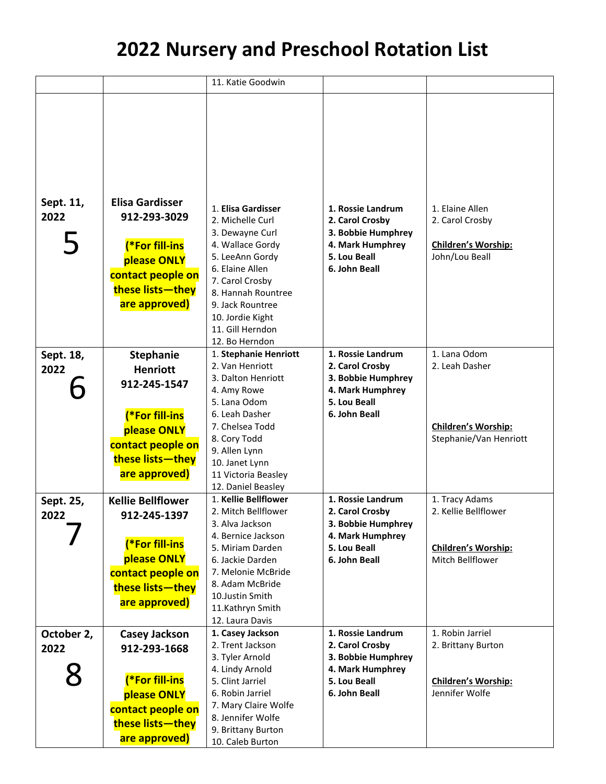|            |                          | 11. Katie Goodwin                      |                                       |                                                      |
|------------|--------------------------|----------------------------------------|---------------------------------------|------------------------------------------------------|
|            |                          |                                        |                                       |                                                      |
|            |                          |                                        |                                       |                                                      |
|            |                          |                                        |                                       |                                                      |
|            |                          |                                        |                                       |                                                      |
|            |                          |                                        |                                       |                                                      |
|            |                          |                                        |                                       |                                                      |
|            |                          |                                        |                                       |                                                      |
|            |                          |                                        |                                       |                                                      |
| Sept. 11,  | <b>Elisa Gardisser</b>   | 1. Elisa Gardisser                     | 1. Rossie Landrum                     | 1. Elaine Allen                                      |
| 2022       | 912-293-3029             | 2. Michelle Curl                       | 2. Carol Crosby                       | 2. Carol Crosby                                      |
|            |                          | 3. Dewayne Curl                        | 3. Bobbie Humphrey                    |                                                      |
|            | <b>(*For fill-ins</b>    | 4. Wallace Gordy                       | 4. Mark Humphrey                      | Children's Worship:                                  |
|            | please ONLY              | 5. LeeAnn Gordy                        | 5. Lou Beall                          | John/Lou Beall                                       |
|            | contact people on        | 6. Elaine Allen                        | 6. John Beall                         |                                                      |
|            | these lists-they         | 7. Carol Crosby                        |                                       |                                                      |
|            | are approved)            | 8. Hannah Rountree<br>9. Jack Rountree |                                       |                                                      |
|            |                          | 10. Jordie Kight                       |                                       |                                                      |
|            |                          | 11. Gill Herndon                       |                                       |                                                      |
|            |                          | 12. Bo Herndon                         |                                       |                                                      |
| Sept. 18,  | <b>Stephanie</b>         | 1. Stephanie Henriott                  | 1. Rossie Landrum                     | 1. Lana Odom                                         |
| 2022       | <b>Henriott</b>          | 2. Van Henriott                        | 2. Carol Crosby                       | 2. Leah Dasher                                       |
|            | 912-245-1547             | 3. Dalton Henriott                     | 3. Bobbie Humphrey                    |                                                      |
|            |                          | 4. Amy Rowe                            | 4. Mark Humphrey                      |                                                      |
|            |                          | 5. Lana Odom                           | 5. Lou Beall                          |                                                      |
|            | (*For fill-ins           | 6. Leah Dasher                         | 6. John Beall                         |                                                      |
|            | please ONLY              | 7. Chelsea Todd<br>8. Cory Todd        |                                       | <b>Children's Worship:</b><br>Stephanie/Van Henriott |
|            | contact people on        | 9. Allen Lynn                          |                                       |                                                      |
|            | these lists-they         | 10. Janet Lynn                         |                                       |                                                      |
|            | are approved)            | 11 Victoria Beasley                    |                                       |                                                      |
|            |                          | 12. Daniel Beasley                     |                                       |                                                      |
| Sept. 25,  | <b>Kellie Bellflower</b> | 1. Kellie Bellflower                   | 1. Rossie Landrum                     | 1. Tracy Adams                                       |
| 2022       | 912-245-1397             | 2. Mitch Bellflower                    | 2. Carol Crosby                       | 2. Kellie Bellflower                                 |
|            |                          | 3. Alva Jackson                        | 3. Bobbie Humphrey                    |                                                      |
|            | (*For fill-ins           | 4. Bernice Jackson<br>5. Miriam Darden | 4. Mark Humphrey<br>5. Lou Beall      | <b>Children's Worship:</b>                           |
|            | please ONLY              | 6. Jackie Darden                       | 6. John Beall                         | Mitch Bellflower                                     |
|            | contact people on        | 7. Melonie McBride                     |                                       |                                                      |
|            | these lists-they         | 8. Adam McBride                        |                                       |                                                      |
|            | are approved)            | 10.Justin Smith                        |                                       |                                                      |
|            |                          | 11.Kathryn Smith                       |                                       |                                                      |
|            |                          | 12. Laura Davis                        |                                       |                                                      |
| October 2, | <b>Casey Jackson</b>     | 1. Casey Jackson                       | 1. Rossie Landrum                     | 1. Robin Jarriel                                     |
| 2022       | 912-293-1668             | 2. Trent Jackson<br>3. Tyler Arnold    | 2. Carol Crosby<br>3. Bobbie Humphrey | 2. Brittany Burton                                   |
|            |                          | 4. Lindy Arnold                        | 4. Mark Humphrey                      |                                                      |
|            | (*For fill-ins           | 5. Clint Jarriel                       | 5. Lou Beall                          | <b>Children's Worship:</b>                           |
|            | please ONLY              | 6. Robin Jarriel                       | 6. John Beall                         | Jennifer Wolfe                                       |
|            | contact people on        | 7. Mary Claire Wolfe                   |                                       |                                                      |
|            | these lists-they         | 8. Jennifer Wolfe                      |                                       |                                                      |
|            |                          | 9. Brittany Burton                     |                                       |                                                      |
|            | are approved)            | 10. Caleb Burton                       |                                       |                                                      |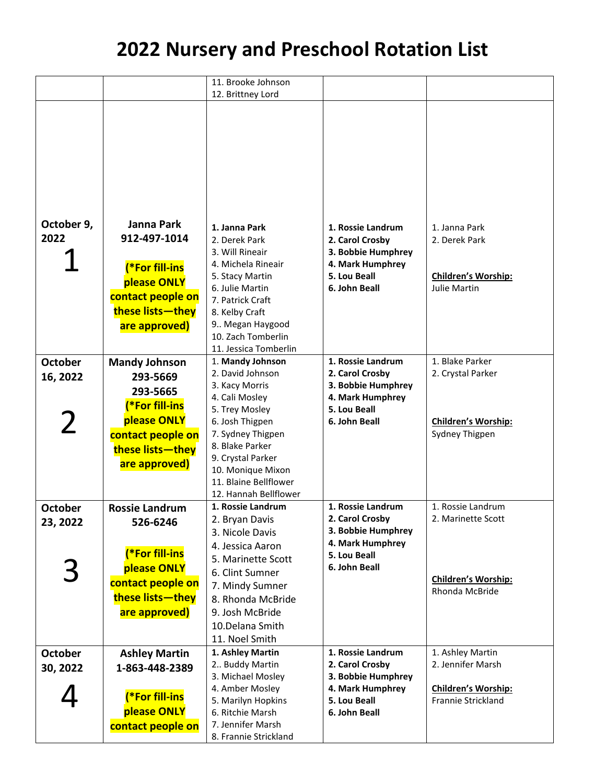|                |                       | 11. Brooke Johnson<br>12. Brittney Lord    |                                        |                            |
|----------------|-----------------------|--------------------------------------------|----------------------------------------|----------------------------|
|                |                       |                                            |                                        |                            |
|                |                       |                                            |                                        |                            |
|                |                       |                                            |                                        |                            |
|                |                       |                                            |                                        |                            |
|                |                       |                                            |                                        |                            |
|                |                       |                                            |                                        |                            |
|                |                       |                                            |                                        |                            |
|                |                       |                                            |                                        |                            |
|                |                       |                                            |                                        |                            |
|                |                       |                                            |                                        |                            |
| October 9,     | Janna Park            | 1. Janna Park                              | 1. Rossie Landrum                      | 1. Janna Park              |
| 2022           | 912-497-1014          | 2. Derek Park                              | 2. Carol Crosby                        | 2. Derek Park              |
|                |                       | 3. Will Rineair                            | 3. Bobbie Humphrey                     |                            |
|                | (*For fill-ins        | 4. Michela Rineair                         | 4. Mark Humphrey                       |                            |
|                | please ONLY           | 5. Stacy Martin                            | 5. Lou Beall                           | Children's Worship:        |
|                |                       | 6. Julie Martin                            | 6. John Beall                          | Julie Martin               |
|                | contact people on     | 7. Patrick Craft                           |                                        |                            |
|                | these lists-they      | 8. Kelby Craft                             |                                        |                            |
|                | are approved)         | 9 Megan Haygood                            |                                        |                            |
|                |                       | 10. Zach Tomberlin                         |                                        |                            |
|                |                       | 11. Jessica Tomberlin                      |                                        |                            |
| <b>October</b> | <b>Mandy Johnson</b>  | 1. Mandy Johnson<br>2. David Johnson       | 1. Rossie Landrum                      | 1. Blake Parker            |
| 16, 2022       | 293-5669              |                                            | 2. Carol Crosby                        | 2. Crystal Parker          |
|                | 293-5665              | 3. Kacy Morris<br>4. Cali Mosley           | 3. Bobbie Humphrey<br>4. Mark Humphrey |                            |
|                | (*For fill-ins        | 5. Trey Mosley                             | 5. Lou Beall                           |                            |
| $\mathbf 2$    | please ONLY           | 6. Josh Thigpen                            | 6. John Beall                          | Children's Worship:        |
|                | contact people on     | 7. Sydney Thigpen                          |                                        | Sydney Thigpen             |
|                | these lists-they      | 8. Blake Parker                            |                                        |                            |
|                |                       | 9. Crystal Parker                          |                                        |                            |
|                | are approved)         | 10. Monique Mixon                          |                                        |                            |
|                |                       | 11. Blaine Bellflower                      |                                        |                            |
|                |                       | 12. Hannah Bellflower                      |                                        |                            |
| <b>October</b> | <b>Rossie Landrum</b> | 1. Rossie Landrum                          | 1. Rossie Landrum                      | 1. Rossie Landrum          |
| 23, 2022       | 526-6246              | 2. Bryan Davis                             | 2. Carol Crosby                        | 2. Marinette Scott         |
|                |                       | 3. Nicole Davis                            | 3. Bobbie Humphrey                     |                            |
|                | (*For fill-ins        | 4. Jessica Aaron                           | 4. Mark Humphrey                       |                            |
|                |                       | 5. Marinette Scott                         | 5. Lou Beall<br>6. John Beall          |                            |
| 3              | please ONLY           | 6. Clint Sumner                            |                                        | Children's Worship:        |
|                | contact people on     | 7. Mindy Sumner                            |                                        | Rhonda McBride             |
|                | these lists-they      | 8. Rhonda McBride                          |                                        |                            |
|                | are approved)         | 9. Josh McBride                            |                                        |                            |
|                |                       | 10.Delana Smith                            |                                        |                            |
|                |                       | 11. Noel Smith                             |                                        |                            |
| <b>October</b> | <b>Ashley Martin</b>  | 1. Ashley Martin                           | 1. Rossie Landrum                      | 1. Ashley Martin           |
| 30, 2022       | 1-863-448-2389        | 2 Buddy Martin                             | 2. Carol Crosby                        | 2. Jennifer Marsh          |
|                |                       | 3. Michael Mosley                          | 3. Bobbie Humphrey                     |                            |
|                | (*For fill-ins        | 4. Amber Mosley                            | 4. Mark Humphrey                       | <b>Children's Worship:</b> |
|                | please ONLY           | 5. Marilyn Hopkins                         | 5. Lou Beall                           | Frannie Strickland         |
|                |                       | 6. Ritchie Marsh                           | 6. John Beall                          |                            |
|                | contact people on     | 7. Jennifer Marsh<br>8. Frannie Strickland |                                        |                            |
|                |                       |                                            |                                        |                            |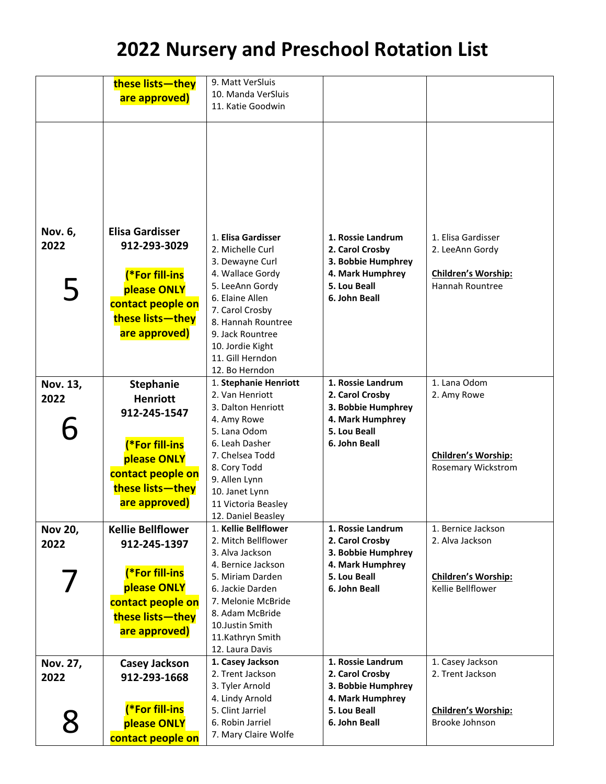|                | these lists-they         | 9. Matt VerSluis      |                    |                            |
|----------------|--------------------------|-----------------------|--------------------|----------------------------|
|                | are approved)            | 10. Manda VerSluis    |                    |                            |
|                |                          | 11. Katie Goodwin     |                    |                            |
|                |                          |                       |                    |                            |
|                |                          |                       |                    |                            |
|                |                          |                       |                    |                            |
|                |                          |                       |                    |                            |
|                |                          |                       |                    |                            |
|                |                          |                       |                    |                            |
|                |                          |                       |                    |                            |
|                |                          |                       |                    |                            |
|                |                          |                       |                    |                            |
| Nov. 6,        | <b>Elisa Gardisser</b>   |                       |                    |                            |
|                |                          | 1. Elisa Gardisser    | 1. Rossie Landrum  | 1. Elisa Gardisser         |
| 2022           | 912-293-3029             | 2. Michelle Curl      | 2. Carol Crosby    | 2. LeeAnn Gordy            |
|                |                          | 3. Dewayne Curl       | 3. Bobbie Humphrey |                            |
|                | (*For fill-ins           | 4. Wallace Gordy      | 4. Mark Humphrey   | Children's Worship:        |
| 5              | please ONLY              | 5. LeeAnn Gordy       | 5. Lou Beall       | Hannah Rountree            |
|                |                          | 6. Elaine Allen       | 6. John Beall      |                            |
|                | contact people on        | 7. Carol Crosby       |                    |                            |
|                | these lists-they         | 8. Hannah Rountree    |                    |                            |
|                | are approved)            | 9. Jack Rountree      |                    |                            |
|                |                          | 10. Jordie Kight      |                    |                            |
|                |                          | 11. Gill Herndon      |                    |                            |
|                |                          | 12. Bo Herndon        |                    |                            |
| Nov. 13,       | <b>Stephanie</b>         | 1. Stephanie Henriott | 1. Rossie Landrum  | 1. Lana Odom               |
| 2022           | <b>Henriott</b>          | 2. Van Henriott       | 2. Carol Crosby    | 2. Amy Rowe                |
|                |                          | 3. Dalton Henriott    | 3. Bobbie Humphrey |                            |
|                | 912-245-1547             | 4. Amy Rowe           | 4. Mark Humphrey   |                            |
|                |                          | 5. Lana Odom          | 5. Lou Beall       |                            |
|                | (*For fill-ins           | 6. Leah Dasher        | 6. John Beall      |                            |
|                | please ONLY              | 7. Chelsea Todd       |                    | <b>Children's Worship:</b> |
|                | contact people on        | 8. Cory Todd          |                    | Rosemary Wickstrom         |
|                |                          | 9. Allen Lynn         |                    |                            |
|                | these lists-they         | 10. Janet Lynn        |                    |                            |
|                | are approved)            | 11 Victoria Beasley   |                    |                            |
|                |                          | 12. Daniel Beasley    |                    |                            |
| <b>Nov 20,</b> | <b>Kellie Bellflower</b> | 1. Kellie Bellflower  | 1. Rossie Landrum  | 1. Bernice Jackson         |
| 2022           | 912-245-1397             | 2. Mitch Bellflower   | 2. Carol Crosby    | 2. Alva Jackson            |
|                |                          | 3. Alva Jackson       | 3. Bobbie Humphrey |                            |
|                |                          | 4. Bernice Jackson    | 4. Mark Humphrey   |                            |
|                | (*For fill-ins           | 5. Miriam Darden      | 5. Lou Beall       | Children's Worship:        |
|                | please ONLY              | 6. Jackie Darden      | 6. John Beall      | Kellie Bellflower          |
|                | contact people on        | 7. Melonie McBride    |                    |                            |
|                | these lists-they         | 8. Adam McBride       |                    |                            |
|                | are approved)            | 10. Justin Smith      |                    |                            |
|                |                          | 11.Kathryn Smith      |                    |                            |
|                |                          | 12. Laura Davis       |                    |                            |
| Nov. 27,       | <b>Casey Jackson</b>     | 1. Casey Jackson      | 1. Rossie Landrum  | 1. Casey Jackson           |
| 2022           | 912-293-1668             | 2. Trent Jackson      | 2. Carol Crosby    | 2. Trent Jackson           |
|                |                          | 3. Tyler Arnold       | 3. Bobbie Humphrey |                            |
|                |                          | 4. Lindy Arnold       | 4. Mark Humphrey   |                            |
|                | (*For fill-ins           | 5. Clint Jarriel      | 5. Lou Beall       | Children's Worship:        |
| 8              | please ONLY              | 6. Robin Jarriel      | 6. John Beall      | Brooke Johnson             |
|                | contact people on        | 7. Mary Claire Wolfe  |                    |                            |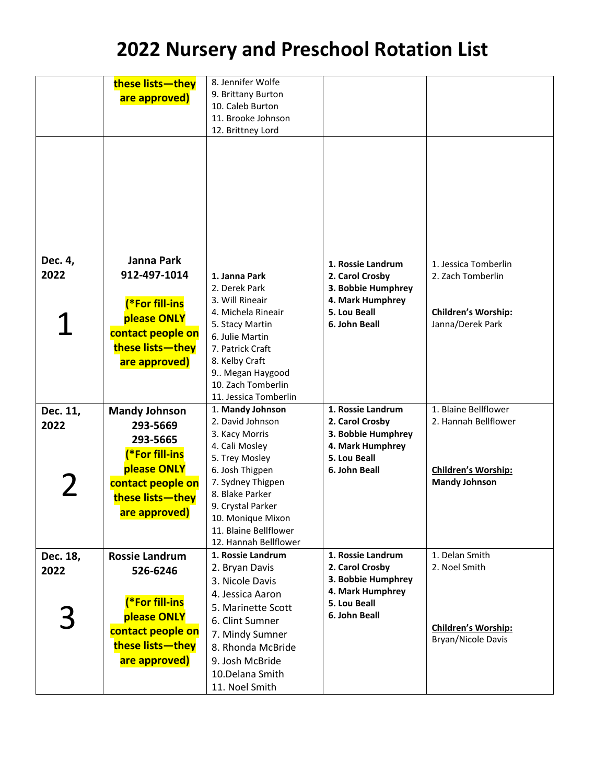|             | these lists-they      | 8. Jennifer Wolfe     |                    |                            |
|-------------|-----------------------|-----------------------|--------------------|----------------------------|
|             |                       | 9. Brittany Burton    |                    |                            |
|             | are approved)         | 10. Caleb Burton      |                    |                            |
|             |                       | 11. Brooke Johnson    |                    |                            |
|             |                       |                       |                    |                            |
|             |                       | 12. Brittney Lord     |                    |                            |
|             |                       |                       |                    |                            |
|             |                       |                       |                    |                            |
|             |                       |                       |                    |                            |
|             |                       |                       |                    |                            |
|             |                       |                       |                    |                            |
|             |                       |                       |                    |                            |
|             |                       |                       |                    |                            |
|             |                       |                       |                    |                            |
|             |                       |                       |                    |                            |
|             |                       |                       |                    |                            |
| Dec. 4,     | Janna Park            |                       |                    |                            |
|             |                       |                       | 1. Rossie Landrum  | 1. Jessica Tomberlin       |
| 2022        | 912-497-1014          | 1. Janna Park         | 2. Carol Crosby    | 2. Zach Tomberlin          |
|             |                       | 2. Derek Park         | 3. Bobbie Humphrey |                            |
|             | (*For fill-ins        | 3. Will Rineair       | 4. Mark Humphrey   |                            |
|             |                       | 4. Michela Rineair    | 5. Lou Beall       | <b>Children's Worship:</b> |
|             | please ONLY           | 5. Stacy Martin       | 6. John Beall      | Janna/Derek Park           |
|             | contact people on     | 6. Julie Martin       |                    |                            |
|             | these lists-they      | 7. Patrick Craft      |                    |                            |
|             |                       |                       |                    |                            |
|             | are approved)         | 8. Kelby Craft        |                    |                            |
|             |                       | 9 Megan Haygood       |                    |                            |
|             |                       | 10. Zach Tomberlin    |                    |                            |
|             |                       | 11. Jessica Tomberlin |                    |                            |
| Dec. 11,    | <b>Mandy Johnson</b>  | 1. Mandy Johnson      | 1. Rossie Landrum  | 1. Blaine Bellflower       |
| 2022        | 293-5669              | 2. David Johnson      | 2. Carol Crosby    | 2. Hannah Bellflower       |
|             | 293-5665              | 3. Kacy Morris        | 3. Bobbie Humphrey |                            |
|             |                       | 4. Cali Mosley        | 4. Mark Humphrey   |                            |
|             | (*For fill-ins        | 5. Trey Mosley        | 5. Lou Beall       |                            |
|             | please ONLY           | 6. Josh Thigpen       | 6. John Beall      | Children's Worship:        |
|             | contact people on     | 7. Sydney Thigpen     |                    | <b>Mandy Johnson</b>       |
| $\mathbf 2$ |                       | 8. Blake Parker       |                    |                            |
|             | these lists-they      | 9. Crystal Parker     |                    |                            |
|             | are approved)         | 10. Monique Mixon     |                    |                            |
|             |                       | 11. Blaine Bellflower |                    |                            |
|             |                       |                       |                    |                            |
|             |                       | 12. Hannah Bellflower |                    |                            |
| Dec. 18,    | <b>Rossie Landrum</b> | 1. Rossie Landrum     | 1. Rossie Landrum  | 1. Delan Smith             |
| 2022        | 526-6246              | 2. Bryan Davis        | 2. Carol Crosby    | 2. Noel Smith              |
|             |                       | 3. Nicole Davis       | 3. Bobbie Humphrey |                            |
|             |                       | 4. Jessica Aaron      | 4. Mark Humphrey   |                            |
|             | (*For fill-ins        | 5. Marinette Scott    | 5. Lou Beall       |                            |
|             | please ONLY           | 6. Clint Sumner       | 6. John Beall      |                            |
|             | contact people on     |                       |                    | Children's Worship:        |
|             |                       | 7. Mindy Sumner       |                    | Bryan/Nicole Davis         |
|             | these lists-they      | 8. Rhonda McBride     |                    |                            |
|             | are approved)         | 9. Josh McBride       |                    |                            |
|             |                       | 10.Delana Smith       |                    |                            |
|             |                       | 11. Noel Smith        |                    |                            |
|             |                       |                       |                    |                            |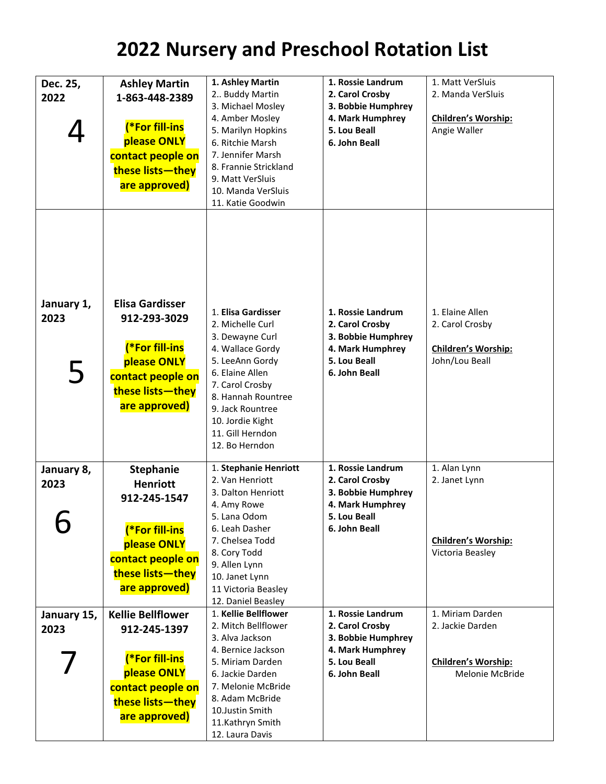| Dec. 25,           | <b>Ashley Martin</b>                   | 1. Ashley Martin<br>2 Buddy Martin     | 1. Rossie Landrum<br>2. Carol Crosby | 1. Matt VerSluis<br>2. Manda VerSluis |
|--------------------|----------------------------------------|----------------------------------------|--------------------------------------|---------------------------------------|
| 2022               | 1-863-448-2389                         |                                        |                                      |                                       |
|                    |                                        | 3. Michael Mosley                      | 3. Bobbie Humphrey                   |                                       |
|                    | (*For fill-ins                         | 4. Amber Mosley                        | 4. Mark Humphrey                     | <b>Children's Worship:</b>            |
|                    |                                        | 5. Marilyn Hopkins                     | 5. Lou Beall                         | Angie Waller                          |
|                    | please ONLY                            | 6. Ritchie Marsh                       | 6. John Beall                        |                                       |
|                    | contact people on                      | 7. Jennifer Marsh                      |                                      |                                       |
|                    | these lists-they                       | 8. Frannie Strickland                  |                                      |                                       |
|                    |                                        | 9. Matt VerSluis                       |                                      |                                       |
|                    | are approved)                          | 10. Manda VerSluis                     |                                      |                                       |
|                    |                                        | 11. Katie Goodwin                      |                                      |                                       |
|                    |                                        |                                        |                                      |                                       |
| January 1,<br>2023 | <b>Elisa Gardisser</b><br>912-293-3029 | 1. Elisa Gardisser<br>2. Michelle Curl | 1. Rossie Landrum<br>2. Carol Crosby | 1. Elaine Allen<br>2. Carol Crosby    |
|                    |                                        | 3. Dewayne Curl                        | 3. Bobbie Humphrey                   |                                       |
|                    | (*For fill-ins                         | 4. Wallace Gordy                       | 4. Mark Humphrey                     | Children's Worship:                   |
|                    | please ONLY                            | 5. LeeAnn Gordy                        | 5. Lou Beall                         | John/Lou Beall                        |
| 5                  | contact people on                      | 6. Elaine Allen                        | 6. John Beall                        |                                       |
|                    | these lists-they                       | 7. Carol Crosby                        |                                      |                                       |
|                    |                                        | 8. Hannah Rountree                     |                                      |                                       |
|                    | are approved)                          | 9. Jack Rountree                       |                                      |                                       |
|                    |                                        | 10. Jordie Kight                       |                                      |                                       |
|                    |                                        | 11. Gill Herndon                       |                                      |                                       |
|                    |                                        | 12. Bo Herndon                         |                                      |                                       |
| January 8,         | <b>Stephanie</b>                       | 1. Stephanie Henriott                  | 1. Rossie Landrum                    | 1. Alan Lynn                          |
| 2023               | <b>Henriott</b>                        | 2. Van Henriott                        | 2. Carol Crosby                      | 2. Janet Lynn                         |
|                    |                                        | 3. Dalton Henriott                     | 3. Bobbie Humphrey                   |                                       |
|                    | 912-245-1547                           | 4. Amy Rowe                            | 4. Mark Humphrey                     |                                       |
|                    |                                        | 5. Lana Odom                           | 5. Lou Beall                         |                                       |
|                    | (*For fill-ins                         | 6. Leah Dasher                         | 6. John Beall                        |                                       |
|                    | please ONLY                            | 7. Chelsea Todd                        |                                      | Children's Worship:                   |
|                    | contact people on                      | 8. Cory Todd                           |                                      | Victoria Beasley                      |
|                    |                                        | 9. Allen Lynn                          |                                      |                                       |
|                    | these lists-they                       | 10. Janet Lynn                         |                                      |                                       |
|                    | are approved)                          | 11 Victoria Beasley                    |                                      |                                       |
|                    |                                        | 12. Daniel Beasley                     |                                      |                                       |
| January 15,        | <b>Kellie Bellflower</b>               | 1. Kellie Bellflower                   | 1. Rossie Landrum                    | 1. Miriam Darden                      |
| 2023               | 912-245-1397                           | 2. Mitch Bellflower                    | 2. Carol Crosby                      | 2. Jackie Darden                      |
|                    |                                        | 3. Alva Jackson                        | 3. Bobbie Humphrey                   |                                       |
|                    | (*For fill-ins                         | 4. Bernice Jackson                     | 4. Mark Humphrey                     |                                       |
|                    |                                        | 5. Miriam Darden                       | 5. Lou Beall                         | Children's Worship:                   |
|                    | please ONLY                            | 6. Jackie Darden                       | 6. John Beall                        | Melonie McBride                       |
|                    | contact people on                      | 7. Melonie McBride                     |                                      |                                       |
|                    | these lists-they                       | 8. Adam McBride                        |                                      |                                       |
|                    | are approved)                          | 10.Justin Smith                        |                                      |                                       |
|                    |                                        | 11.Kathryn Smith                       |                                      |                                       |
|                    |                                        | 12. Laura Davis                        |                                      |                                       |